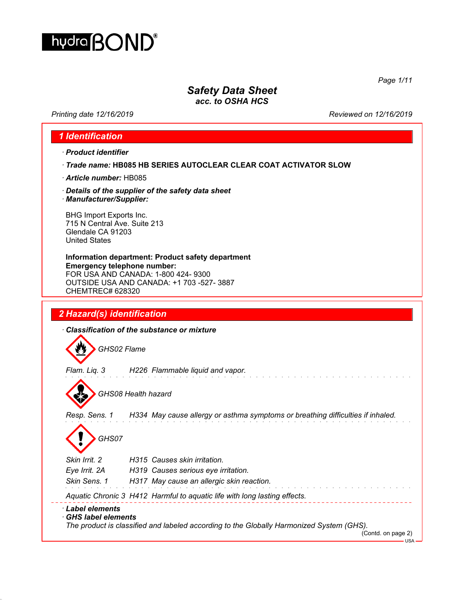

*Page 1/11*

# *Safety Data Sheet*

*acc. to OSHA HCS*

*Printing date 12/16/2019 Reviewed on 12/16/2019*

### *1 Identification*

*· Product identifier*

- *· Trade name:* **HB085 HB SERIES AUTOCLEAR CLEAR COAT ACTIVATOR SLOW**
- *· Article number:* HB085
- *· Details of the supplier of the safety data sheet*
- *· Manufacturer/Supplier:*

BHG Import Exports Inc. 715 N Central Ave. Suite 213 Glendale CA 91203 United States

**Information department: Product safety department Emergency telephone number:** FOR USA AND CANADA: 1-800 424- 9300 OUTSIDE USA AND CANADA: +1 703 -527- 3887 CHEMTREC# 628320

# *2 Hazard(s) identification*

*· Classification of the substance or mixture*

*GHS02 Flame*

*Flam. Liq. 3 H226 Flammable liquid and vapor.*

*GHS08 Health hazard*

*Resp. Sens. 1 H334 May cause allergy or asthma symptoms or breathing difficulties if inhaled.*

and the state of the state

*GHS07*

*Skin Irrit. 2 H315 Causes skin irritation. Eye Irrit. 2A H319 Causes serious eye irritation.*

*Skin Sens. 1 H317 May cause an allergic skin reaction.*

*Aquatic Chronic 3 H412 Harmful to aquatic life with long lasting effects.*

#### *· Label elements*

#### *· GHS label elements*

*The product is classified and labeled according to the Globally Harmonized System (GHS).*

 $-1$ ISA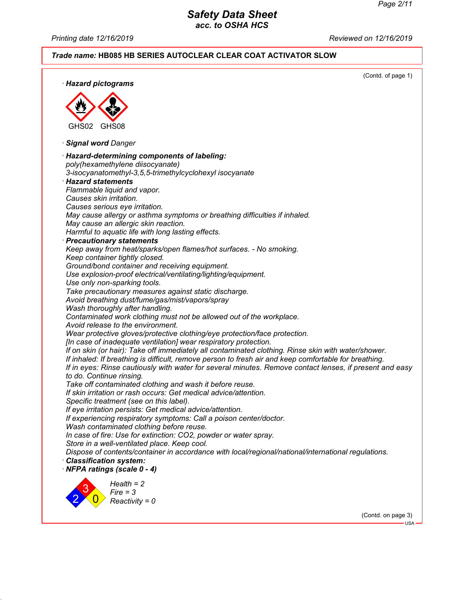*Printing date 12/16/2019 Reviewed on 12/16/2019*

#### *Trade name:* **HB085 HB SERIES AUTOCLEAR CLEAR COAT ACTIVATOR SLOW**

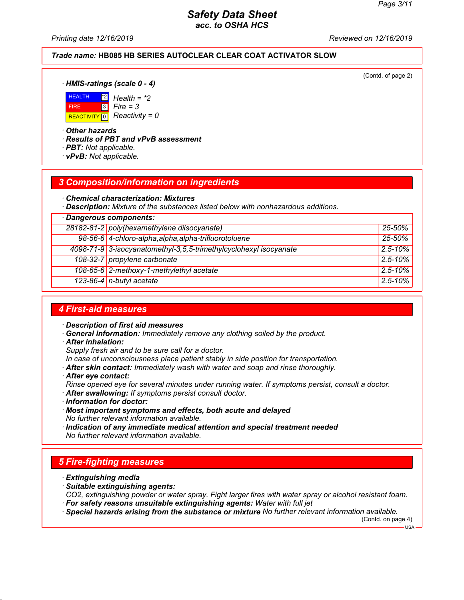*Printing date 12/16/2019 Reviewed on 12/16/2019*

#### *Trade name:* **HB085 HB SERIES AUTOCLEAR CLEAR COAT ACTIVATOR SLOW**

(Contd. of page 2)

*· HMIS-ratings (scale 0 - 4)*



\*2 *Health = \*2* 3 *Fire = 3*

*· Other hazards*

*· Results of PBT and vPvB assessment*

- *· PBT: Not applicable.*
- *· vPvB: Not applicable.*

#### *3 Composition/information on ingredients*

*· Chemical characterization: Mixtures*

*· Description: Mixture of the substances listed below with nonhazardous additions.*

| · Dangerous components: |                                                                   |              |
|-------------------------|-------------------------------------------------------------------|--------------|
|                         | 28182-81-2 poly(hexamethylene diisocyanate)                       | $25 - 50%$   |
|                         | 98-56-6 4-chloro-alpha, alpha, alpha-trifluorotoluene             | 25-50%       |
|                         | 4098-71-9 3-isocyanatomethyl-3,5,5-trimethylcyclohexyl isocyanate | $2.5 - 10\%$ |
|                         | 108-32-7 propylene carbonate                                      | $2.5 - 10%$  |
|                         | 108-65-6 2-methoxy-1-methylethyl acetate                          | $2.5 - 10%$  |
|                         | 123-86-4 n-butyl acetate                                          | $2.5 - 10%$  |

#### *4 First-aid measures*

*· Description of first aid measures*

- *· General information: Immediately remove any clothing soiled by the product.*
- *· After inhalation:*

*Supply fresh air and to be sure call for a doctor.*

- *In case of unconsciousness place patient stably in side position for transportation.*
- *· After skin contact: Immediately wash with water and soap and rinse thoroughly.*
- *· After eye contact:*
- *Rinse opened eye for several minutes under running water. If symptoms persist, consult a doctor.*
- *· After swallowing: If symptoms persist consult doctor.*
- *· Information for doctor:*
- *· Most important symptoms and effects, both acute and delayed No further relevant information available.*
- *· Indication of any immediate medical attention and special treatment needed No further relevant information available.*

#### *5 Fire-fighting measures*

- *· Extinguishing media*
- *· Suitable extinguishing agents:*

*CO2, extinguishing powder or water spray. Fight larger fires with water spray or alcohol resistant foam.*

- *· For safety reasons unsuitable extinguishing agents: Water with full jet*
- *· Special hazards arising from the substance or mixture No further relevant information available.*

(Contd. on page 4)

USA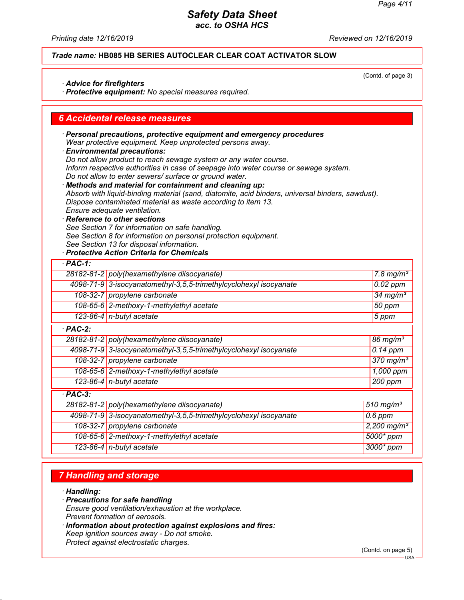(Contd. of page 3)

### *Safety Data Sheet acc. to OSHA HCS*

*Printing date 12/16/2019 Reviewed on 12/16/2019*

*Trade name:* **HB085 HB SERIES AUTOCLEAR CLEAR COAT ACTIVATOR SLOW**

*· Advice for firefighters*

*· Protective equipment: No special measures required.*

#### *6 Accidental release measures*

*· Personal precautions, protective equipment and emergency procedures Wear protective equipment. Keep unprotected persons away. · Environmental precautions:*

*Do not allow product to reach sewage system or any water course. Inform respective authorities in case of seepage into water course or sewage system. Do not allow to enter sewers/ surface or ground water.*

*· Methods and material for containment and cleaning up: Absorb with liquid-binding material (sand, diatomite, acid binders, universal binders, sawdust). Dispose contaminated material as waste according to item 13. Ensure adequate ventilation.*

*· Reference to other sections See Section 7 for information on safe handling. See Section 8 for information on personal protection equipment.*

*See Section 13 for disposal information.*

### *· Protective Action Criteria for Chemicals*

| $·$ PAC-1: |                                                                   |                         |
|------------|-------------------------------------------------------------------|-------------------------|
|            | 28182-81-2 poly(hexamethylene diisocyanate)                       | 7.8 mg/m <sup>3</sup>   |
|            | 4098-71-9 3-isocyanatomethyl-3,5,5-trimethylcyclohexyl isocyanate | $0.02$ ppm              |
|            | 108-32-7 propylene carbonate                                      | $34$ mg/m <sup>3</sup>  |
|            | 108-65-6 2-methoxy-1-methylethyl acetate                          | 50 ppm                  |
|            | 123-86-4 $n$ -butyl acetate                                       | 5 ppm                   |
| $·$ PAC-2: |                                                                   |                         |
|            | 28182-81-2 poly(hexamethylene diisocyanate)                       | 86 mg/ $m3$             |
|            | 4098-71-9 3-isocyanatomethyl-3,5,5-trimethylcyclohexyl isocyanate | $\overline{0}$ . 14 ppm |
|            | 108-32-7 propylene carbonate                                      | $370$ mg/m <sup>3</sup> |
|            | 108-65-6 2-methoxy-1-methylethyl acetate                          | 1,000 ppm               |
|            | 123-86-4 $n$ -butyl acetate                                       | 200 ppm                 |
| $·$ PAC-3: |                                                                   |                         |
|            | 28182-81-2 poly(hexamethylene diisocyanate)                       | $510$ mg/m <sup>3</sup> |
|            | 4098-71-9 3-isocyanatomethyl-3,5,5-trimethylcyclohexyl isocyanate | $0.6$ ppm               |
|            | 108-32-7 propylene carbonate                                      | 2,200 mg/m <sup>3</sup> |
|            | 108-65-6 2-methoxy-1-methylethyl acetate                          | 5000* ppm               |
|            | 123-86-4   n-butyl acetate                                        | 3000* ppm               |

### *7 Handling and storage*

*· Handling:*

- *· Precautions for safe handling Ensure good ventilation/exhaustion at the workplace. Prevent formation of aerosols.*
- *· Information about protection against explosions and fires: Keep ignition sources away - Do not smoke. Protect against electrostatic charges.*

(Contd. on page 5)

USA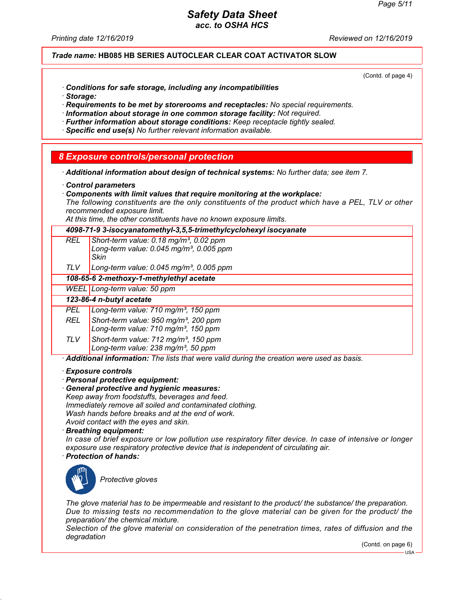*Printing date 12/16/2019 Reviewed on 12/16/2019*

*Trade name:* **HB085 HB SERIES AUTOCLEAR CLEAR COAT ACTIVATOR SLOW**

(Contd. of page 4)

- *· Conditions for safe storage, including any incompatibilities*
- *· Storage:*

*· Requirements to be met by storerooms and receptacles: No special requirements.*

*· Information about storage in one common storage facility: Not required.*

- *· Further information about storage conditions: Keep receptacle tightly sealed.*
- *· Specific end use(s) No further relevant information available.*

#### *8 Exposure controls/personal protection*

- *· Additional information about design of technical systems: No further data; see item 7.*
- *· Control parameters*
- *· Components with limit values that require monitoring at the workplace:*

*The following constituents are the only constituents of the product which have a PEL, TLV or other recommended exposure limit.*

*At this time, the other constituents have no known exposure limits.*

|            | At this three, the other constituents have no mown exposure immts.                                                                                                                                                                                                                                                    |
|------------|-----------------------------------------------------------------------------------------------------------------------------------------------------------------------------------------------------------------------------------------------------------------------------------------------------------------------|
|            | 4098-71-9 3-isocyanatomethyl-3,5,5-trimethylcyclohexyl isocyanate                                                                                                                                                                                                                                                     |
| REL        | Short-term value: $0.18$ mg/m <sup>3</sup> , $0.02$ ppm<br>Long-term value: 0.045 mg/m <sup>3</sup> , 0.005 ppm<br>Skin                                                                                                                                                                                               |
| TLV.       | Long-term value: $0.045$ mg/m <sup>3</sup> , 0.005 ppm                                                                                                                                                                                                                                                                |
|            | 108-65-6 2-methoxy-1-methylethyl acetate                                                                                                                                                                                                                                                                              |
|            | WEEL Long-term value: 50 ppm                                                                                                                                                                                                                                                                                          |
|            | 123-86-4 n-butyl acetate                                                                                                                                                                                                                                                                                              |
| <b>PEL</b> | Long-term value: 710 mg/m <sup>3</sup> , 150 ppm                                                                                                                                                                                                                                                                      |
| <b>REL</b> | Short-term value: 950 mg/m <sup>3</sup> , 200 ppm<br>Long-term value: 710 mg/m <sup>3</sup> , 150 ppm                                                                                                                                                                                                                 |
| TLV.       | Short-term value: 712 mg/m <sup>3</sup> , 150 ppm<br>Long-term value: 238 mg/m <sup>3</sup> , 50 ppm                                                                                                                                                                                                                  |
|            | · Additional information: The lists that were valid during the creation were used as basis.                                                                                                                                                                                                                           |
|            | $\cdot$ Exposure controls<br>· Personal protective equipment:<br>General protective and hygienic measures:<br>Keep away from foodstuffs, beverages and feed.<br>Immediately remove all soiled and contaminated clothing.<br>Wash hands before breaks and at the end of work.<br>Avoid contact with the eyes and skin. |

*· Breathing equipment:*

*In case of brief exposure or low pollution use respiratory filter device. In case of intensive or longer exposure use respiratory protective device that is independent of circulating air.*

*· Protection of hands:*



*Protective gloves*

*The glove material has to be impermeable and resistant to the product/ the substance/ the preparation. Due to missing tests no recommendation to the glove material can be given for the product/ the preparation/ the chemical mixture.*

*Selection of the glove material on consideration of the penetration times, rates of diffusion and the degradation*

(Contd. on page 6)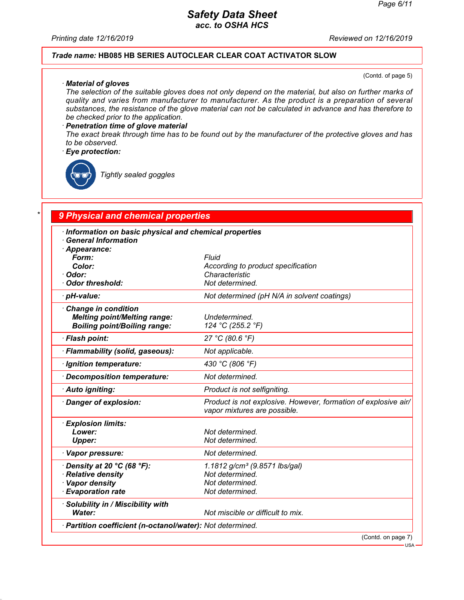*Printing date 12/16/2019 Reviewed on 12/16/2019*

#### *Trade name:* **HB085 HB SERIES AUTOCLEAR CLEAR COAT ACTIVATOR SLOW**

(Contd. of page 5)

*· Material of gloves The selection of the suitable gloves does not only depend on the material, but also on further marks of quality and varies from manufacturer to manufacturer. As the product is a preparation of several substances, the resistance of the glove material can not be calculated in advance and has therefore to be checked prior to the application.*

#### *· Penetration time of glove material*

*The exact break through time has to be found out by the manufacturer of the protective gloves and has to be observed.*

#### *· Eye protection:*

*Tightly sealed goggles*

# *\* 9 Physical and chemical properties*

| Information on basic physical and chemical properties<br><b>General Information</b><br>· Appearance:<br>Form:<br>Color:<br>· Odor:<br>Odor threshold: | <b>Fluid</b><br>According to product specification<br>Characteristic<br>Not determined.            |
|-------------------------------------------------------------------------------------------------------------------------------------------------------|----------------------------------------------------------------------------------------------------|
| · pH-value:                                                                                                                                           | Not determined (pH N/A in solvent coatings)                                                        |
| $\cdot$ Change in condition<br><b>Melting point/Melting range:</b><br><b>Boiling point/Boiling range:</b>                                             | Undetermined.<br>124 °C (255.2 °F)                                                                 |
| · Flash point:                                                                                                                                        | 27 °C (80.6 °F)                                                                                    |
| · Flammability (solid, gaseous):                                                                                                                      | Not applicable.                                                                                    |
| · Ignition temperature:                                                                                                                               | 430 °C (806 °F)                                                                                    |
| · Decomposition temperature:                                                                                                                          | Not determined.                                                                                    |
| · Auto igniting:                                                                                                                                      | Product is not selfigniting.                                                                       |
| Danger of explosion:                                                                                                                                  | Product is not explosive. However, formation of explosive air/<br>vapor mixtures are possible.     |
| · Explosion limits:<br>Lower:<br><b>Upper:</b>                                                                                                        | Not determined.<br>Not determined.                                                                 |
| · Vapor pressure:                                                                                                                                     | Not determined.                                                                                    |
| $\cdot$ Density at 20 °C (68 °F):<br>· Relative density<br>· Vapor density<br><b>Evaporation rate</b>                                                 | 1.1812 g/cm <sup>3</sup> (9.8571 lbs/gal)<br>Not determined.<br>Not determined.<br>Not determined. |
| · Solubility in / Miscibility with<br>Water:                                                                                                          | Not miscible or difficult to mix.                                                                  |
| · Partition coefficient (n-octanol/water): Not determined.                                                                                            |                                                                                                    |
|                                                                                                                                                       | (Contd. on page 7)<br><b>APIL</b>                                                                  |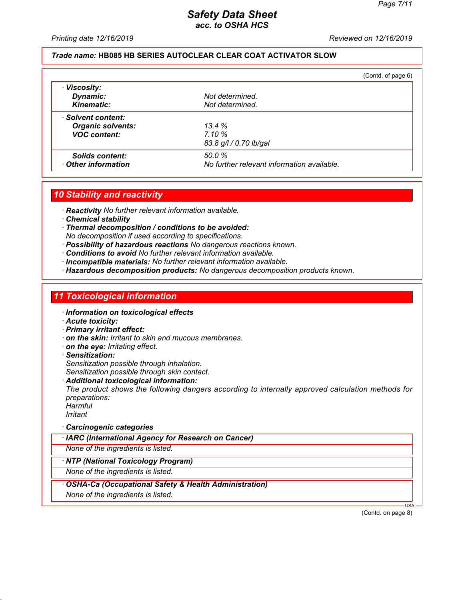*Printing date 12/16/2019 Reviewed on 12/16/2019*

#### *Trade name:* **HB085 HB SERIES AUTOCLEAR CLEAR COAT ACTIVATOR SLOW**

|                          |                                            | (Contd. of page 6) |
|--------------------------|--------------------------------------------|--------------------|
| · Viscosity:             |                                            |                    |
| Dynamic:                 | Not determined.                            |                    |
| <b>Kinematic:</b>        | Not determined.                            |                    |
| · Solvent content:       |                                            |                    |
| <b>Organic solvents:</b> | 13.4%                                      |                    |
| <b>VOC content:</b>      | 7.10%                                      |                    |
|                          | 83.8 g/l / 0.70 lb/gal                     |                    |
| Solids content:          | 50.0%                                      |                    |
| Other information        | No further relevant information available. |                    |

#### *10 Stability and reactivity*

*· Reactivity No further relevant information available.*

*· Chemical stability*

*· Thermal decomposition / conditions to be avoided: No decomposition if used according to specifications.*

- *· Possibility of hazardous reactions No dangerous reactions known.*
- *· Conditions to avoid No further relevant information available.*
- *· Incompatible materials: No further relevant information available.*
- *· Hazardous decomposition products: No dangerous decomposition products known.*

### *11 Toxicological information*

- *· Information on toxicological effects*
- *· Acute toxicity:*
- *· Primary irritant effect:*
- *· on the skin: Irritant to skin and mucous membranes.*
- *· on the eye: Irritating effect.*
- *· Sensitization: Sensitization possible through inhalation. Sensitization possible through skin contact.*
- *· Additional toxicological information:*

*The product shows the following dangers according to internally approved calculation methods for preparations:*

*Harmful Irritant*

- *· Carcinogenic categories*
- *· IARC (International Agency for Research on Cancer)*
- *None of the ingredients is listed.*

*· NTP (National Toxicology Program)*

*None of the ingredients is listed.*

#### *· OSHA-Ca (Occupational Safety & Health Administration)*

*None of the ingredients is listed.*

(Contd. on page 8)

USA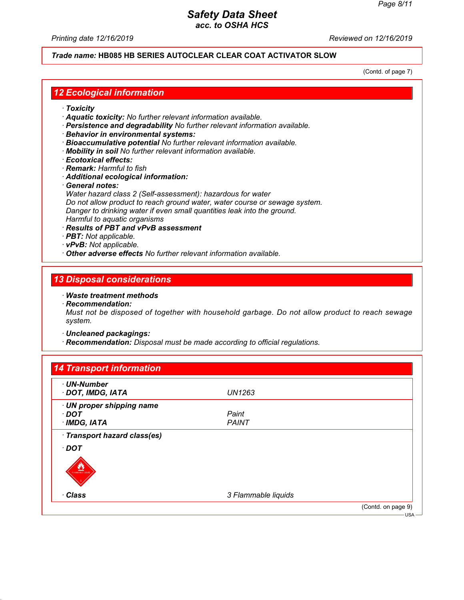*Printing date 12/16/2019 Reviewed on 12/16/2019*

### *Trade name:* **HB085 HB SERIES AUTOCLEAR CLEAR COAT ACTIVATOR SLOW**

(Contd. of page 7)

### *12 Ecological information*

- *· Toxicity*
- *· Aquatic toxicity: No further relevant information available.*
- *· Persistence and degradability No further relevant information available.*
- *· Behavior in environmental systems:*
- *· Bioaccumulative potential No further relevant information available.*
- *· Mobility in soil No further relevant information available.*
- *· Ecotoxical effects:*
- *· Remark: Harmful to fish*

#### *· Additional ecological information:*

*· General notes:*

*Water hazard class 2 (Self-assessment): hazardous for water Do not allow product to reach ground water, water course or sewage system. Danger to drinking water if even small quantities leak into the ground. Harmful to aquatic organisms*

- *· Results of PBT and vPvB assessment*
- *· PBT: Not applicable.*
- *· vPvB: Not applicable.*
- *· Other adverse effects No further relevant information available.*

### *13 Disposal considerations*

#### *· Waste treatment methods*

*· Recommendation:*

*Must not be disposed of together with household garbage. Do not allow product to reach sewage system.*

*· Uncleaned packagings:*

*· Recommendation: Disposal must be made according to official regulations.*

| · UN-Number                  |                     |  |
|------------------------------|---------------------|--|
| · DOT, IMDG, IATA            | UN1263              |  |
| · UN proper shipping name    |                     |  |
| $\cdot$ DOT                  | Paint               |  |
| $\cdot$ IMDG, IATA           | <b>PAINT</b>        |  |
| · Transport hazard class(es) |                     |  |
| $\cdot$ DOT                  |                     |  |
|                              |                     |  |
| LAMMABLE LIQUI               |                     |  |
| · Class                      | 3 Flammable liquids |  |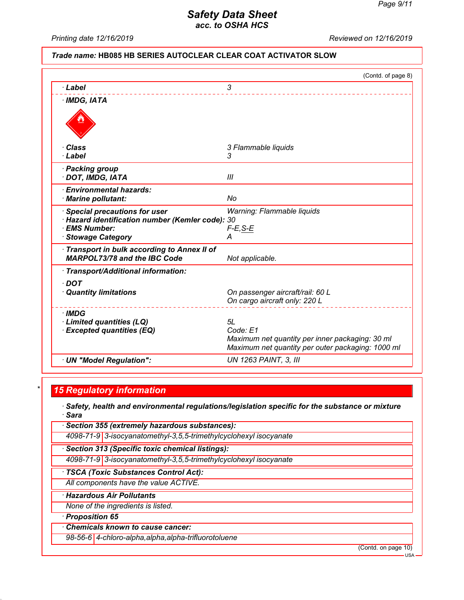*Printing date 12/16/2019 Reviewed on 12/16/2019*

#### *Trade name:* **HB085 HB SERIES AUTOCLEAR CLEAR COAT ACTIVATOR SLOW**

|                                                                                                     | (Contd. of page 8)                                                                                                     |
|-----------------------------------------------------------------------------------------------------|------------------------------------------------------------------------------------------------------------------------|
| · Label                                                                                             | 3                                                                                                                      |
| $\cdot$ IMDG, IATA                                                                                  |                                                                                                                        |
|                                                                                                     |                                                                                                                        |
| · Class                                                                                             | 3 Flammable liquids                                                                                                    |
| · Label                                                                                             | 3                                                                                                                      |
| · Packing group<br>· DOT, IMDG, IATA                                                                | Ш                                                                                                                      |
| · Environmental hazards:<br>· Marine pollutant:                                                     | No                                                                                                                     |
| · Special precautions for user<br>· Hazard identification number (Kemler code): 30<br>· EMS Number: | Warning: Flammable liquids<br>$F-E$ , S-E                                                                              |
| · Stowage Category                                                                                  | А                                                                                                                      |
| Transport in bulk according to Annex II of<br><b>MARPOL73/78 and the IBC Code</b>                   | Not applicable.                                                                                                        |
| · Transport/Additional information:                                                                 |                                                                                                                        |
| $\cdot$ DOT<br>· Quantity limitations                                                               | On passenger aircraft/rail: 60 L<br>On cargo aircraft only: 220 L                                                      |
| · IMDG<br>· Limited quantities (LQ)<br><b>Excepted quantities (EQ)</b>                              | 5L<br>Code: E1<br>Maximum net quantity per inner packaging: 30 ml<br>Maximum net quantity per outer packaging: 1000 ml |
| · UN "Model Regulation":                                                                            | <b>UN 1263 PAINT, 3, III</b>                                                                                           |

# *\* 15 Regulatory information*

- *· Safety, health and environmental regulations/legislation specific for the substance or mixture · Sara*
- *· Section 355 (extremely hazardous substances):*
	- *4098-71-9 3-isocyanatomethyl-3,5,5-trimethylcyclohexyl isocyanate*
- *· Section 313 (Specific toxic chemical listings):*
- *4098-71-9 3-isocyanatomethyl-3,5,5-trimethylcyclohexyl isocyanate*
- *· TSCA (Toxic Substances Control Act):*
- *All components have the value ACTIVE.*
- *· Hazardous Air Pollutants*
- *None of the ingredients is listed.*
- *· Proposition 65*
- *· Chemicals known to cause cancer:*
- *98-56-6 4-chloro-alpha,alpha,alpha-trifluorotoluene*

(Contd. on page 10)

USA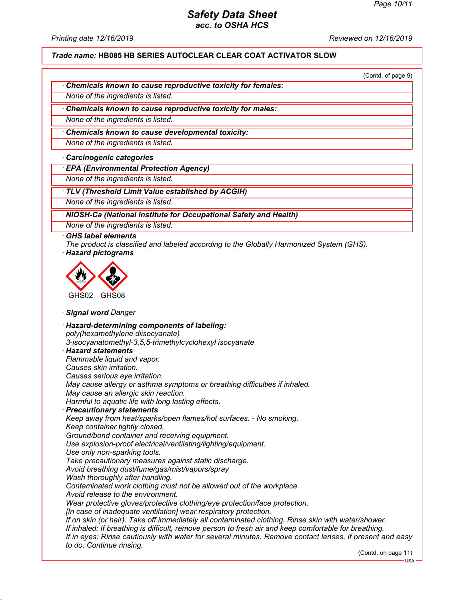*Printing date 12/16/2019 Reviewed on 12/16/2019*

*Trade name:* **HB085 HB SERIES AUTOCLEAR CLEAR COAT ACTIVATOR SLOW**

(Contd. of page 9)

*· Chemicals known to cause reproductive toxicity for females:*

*None of the ingredients is listed.*

*· Chemicals known to cause reproductive toxicity for males:*

*None of the ingredients is listed.*

*· Chemicals known to cause developmental toxicity:*

*None of the ingredients is listed.*

*· Carcinogenic categories*

*· EPA (Environmental Protection Agency)*

*None of the ingredients is listed.*

*· TLV (Threshold Limit Value established by ACGIH)*

*None of the ingredients is listed.*

*· NIOSH-Ca (National Institute for Occupational Safety and Health)*

*None of the ingredients is listed.*

#### *· GHS label elements*

*The product is classified and labeled according to the Globally Harmonized System (GHS). · Hazard pictograms*



*· Signal word Danger*

*· Hazard-determining components of labeling: poly(hexamethylene diisocyanate) 3-isocyanatomethyl-3,5,5-trimethylcyclohexyl isocyanate · Hazard statements Flammable liquid and vapor. Causes skin irritation. Causes serious eye irritation. May cause allergy or asthma symptoms or breathing difficulties if inhaled. May cause an allergic skin reaction. Harmful to aquatic life with long lasting effects. · Precautionary statements Keep away from heat/sparks/open flames/hot surfaces. - No smoking. Keep container tightly closed. Ground/bond container and receiving equipment. Use explosion-proof electrical/ventilating/lighting/equipment. Use only non-sparking tools. Take precautionary measures against static discharge. Avoid breathing dust/fume/gas/mist/vapors/spray Wash thoroughly after handling. Contaminated work clothing must not be allowed out of the workplace. Avoid release to the environment. Wear protective gloves/protective clothing/eye protection/face protection. [In case of inadequate ventilation] wear respiratory protection. If on skin (or hair): Take off immediately all contaminated clothing. Rinse skin with water/shower. If inhaled: If breathing is difficult, remove person to fresh air and keep comfortable for breathing. If in eyes: Rinse cautiously with water for several minutes. Remove contact lenses, if present and easy to do. Continue rinsing.*

(Contd. on page 11)

USA